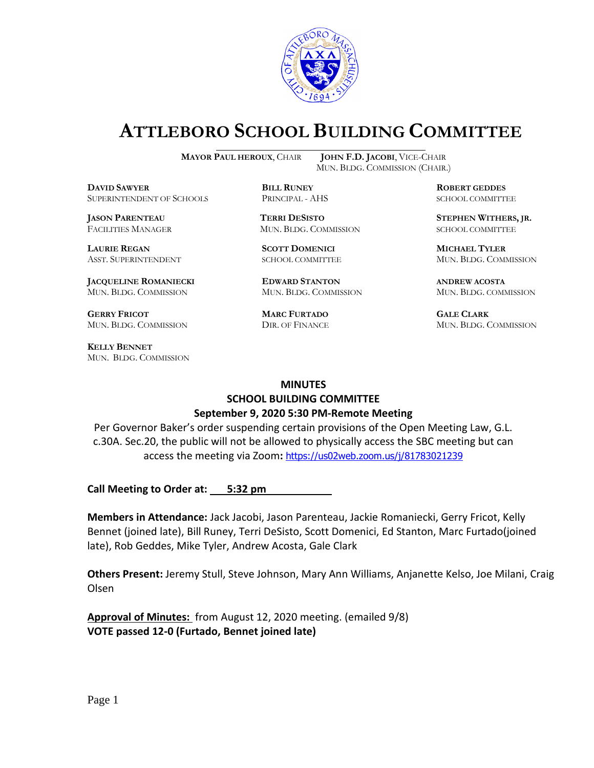

# **ATTLEBORO SCHOOL BUILDING COMMITTEE**

**DDAWYER BILL RUNEY ROBERT GEDDES** SUPERINTENDENT OF SCHOOLS PRINCIPAL - AHS SCHOOL COMMITTEE

**LAURIE REGAN SCOTT DOMENICI MICHAEL TYLER**

**JACQUELINE ROMANIECKI EDWARD STANTON ANDREW ACOSTA** MUN. BLDG. COMMISSION MUN. BLDG. COMMISSION MUN. BLDG. COMMISSION

**GERRY FRICOT MARC FURTADO GALE CLARK** MUN. BLDG. COMMISSION DIR. OF FINANCE MUN. BLDG. COMMISSION

**KELLY BENNET** MUN. BLDG. COMMISSION

**MAYOR PAUL HEROUX**, CHAIR **JOHN F.D. JACOBI**, VICE-CHAIR MUN. BLDG. COMMISSION (CHAIR.)

FACILITIES MANAGER MUN. BLDG. COMMISSION SCHOOL COMMITTEE

**JASON PARENTEAU TERRI DESISTO STEPHEN WITHERS, JR.**

ASST. SUPERINTENDENT SCHOOL COMMITTEE MUN. BLDG. COMMISSION

#### **MINUTES**

## **SCHOOL BUILDING COMMITTEE September 9, 2020 5:30 PM-Remote Meeting**

Per Governor Baker's order suspending certain provisions of the Open Meeting Law, G.L. c.30A. Sec.20, the public will not be allowed to physically access the SBC meeting but can access the meeting via Zoom**:** <https://us02web.zoom.us/j/81783021239>

**Call Meeting to Order at: 5:32 pm** 

**Members in Attendance:** Jack Jacobi, Jason Parenteau, Jackie Romaniecki, Gerry Fricot, Kelly Bennet (joined late), Bill Runey, Terri DeSisto, Scott Domenici, Ed Stanton, Marc Furtado(joined late), Rob Geddes, Mike Tyler, Andrew Acosta, Gale Clark

**Others Present:** Jeremy Stull, Steve Johnson, Mary Ann Williams, Anjanette Kelso, Joe Milani, Craig Olsen

**Approval of Minutes:** from August 12, 2020 meeting. (emailed 9/8) **VOTE passed 12-0 (Furtado, Bennet joined late)**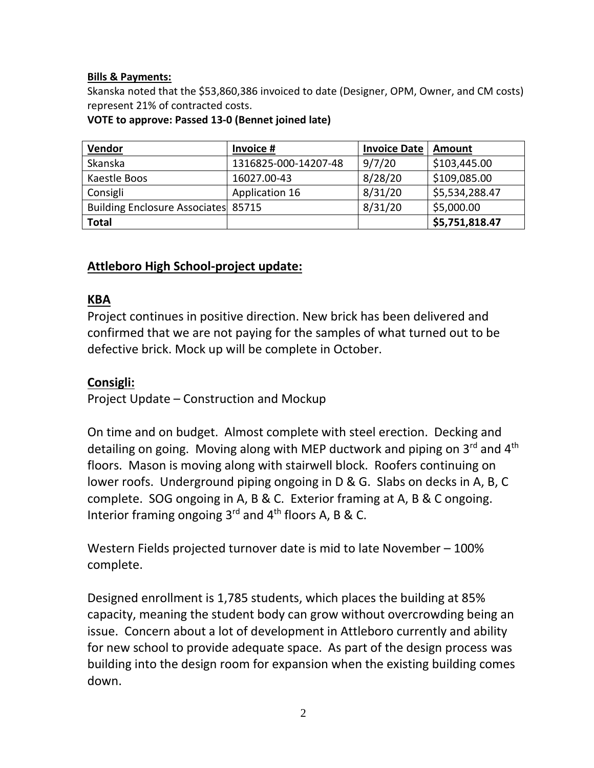#### **Bills & Payments:**

Skanska noted that the \$53,860,386 invoiced to date (Designer, OPM, Owner, and CM costs) represent 21% of contracted costs.

**VOTE to approve: Passed 13-0 (Bennet joined late)**

| <b>Vendor</b>                              | Invoice #            | <b>Invoice Date</b> | Amount         |
|--------------------------------------------|----------------------|---------------------|----------------|
| Skanska                                    | 1316825-000-14207-48 | 9/7/20              | \$103,445.00   |
| Kaestle Boos                               | 16027.00-43          | 8/28/20             | \$109,085.00   |
| Consigli                                   | Application 16       | 8/31/20             | \$5,534,288.47 |
| <b>Building Enclosure Associates 85715</b> |                      | 8/31/20             | \$5,000.00     |
| <b>Total</b>                               |                      |                     | \$5,751,818.47 |

# **Attleboro High School-project update:**

#### **KBA**

Project continues in positive direction. New brick has been delivered and confirmed that we are not paying for the samples of what turned out to be defective brick. Mock up will be complete in October.

## **Consigli:**

Project Update – Construction and Mockup

On time and on budget. Almost complete with steel erection. Decking and detailing on going. Moving along with MEP ductwork and piping on 3<sup>rd</sup> and 4<sup>th</sup> floors. Mason is moving along with stairwell block. Roofers continuing on lower roofs. Underground piping ongoing in D & G. Slabs on decks in A, B, C complete. SOG ongoing in A, B & C. Exterior framing at A, B & C ongoing. Interior framing ongoing  $3^{rd}$  and  $4^{th}$  floors A, B & C.

Western Fields projected turnover date is mid to late November – 100% complete.

Designed enrollment is 1,785 students, which places the building at 85% capacity, meaning the student body can grow without overcrowding being an issue. Concern about a lot of development in Attleboro currently and ability for new school to provide adequate space. As part of the design process was building into the design room for expansion when the existing building comes down.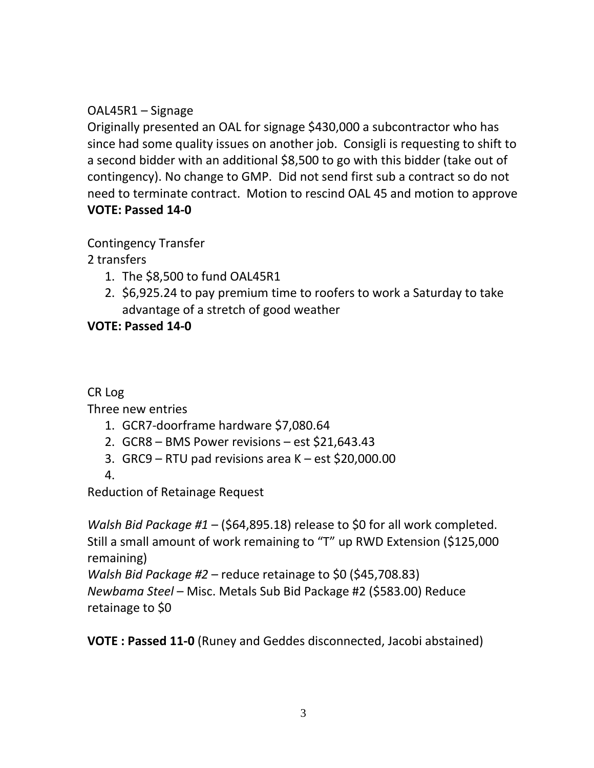# OAL45R1 – Signage

Originally presented an OAL for signage \$430,000 a subcontractor who has since had some quality issues on another job. Consigli is requesting to shift to a second bidder with an additional \$8,500 to go with this bidder (take out of contingency). No change to GMP. Did not send first sub a contract so do not need to terminate contract. Motion to rescind OAL 45 and motion to approve **VOTE: Passed 14-0**

Contingency Transfer

2 transfers

- 1. The \$8,500 to fund OAL45R1
- 2. \$6,925.24 to pay premium time to roofers to work a Saturday to take advantage of a stretch of good weather

**VOTE: Passed 14-0**

CR Log

Three new entries

- 1. GCR7-doorframe hardware \$7,080.64
- 2. GCR8 BMS Power revisions est \$21,643.43
- 3. GRC9 RTU pad revisions area K est \$20,000.00

4.

Reduction of Retainage Request

*Walsh Bid Package #1* – (\$64,895.18) release to \$0 for all work completed. Still a small amount of work remaining to "T" up RWD Extension (\$125,000 remaining)

*Walsh Bid Package #2* – reduce retainage to \$0 (\$45,708.83)

*Newbama Steel* – Misc. Metals Sub Bid Package #2 (\$583.00) Reduce retainage to \$0

**VOTE : Passed 11-0** (Runey and Geddes disconnected, Jacobi abstained)